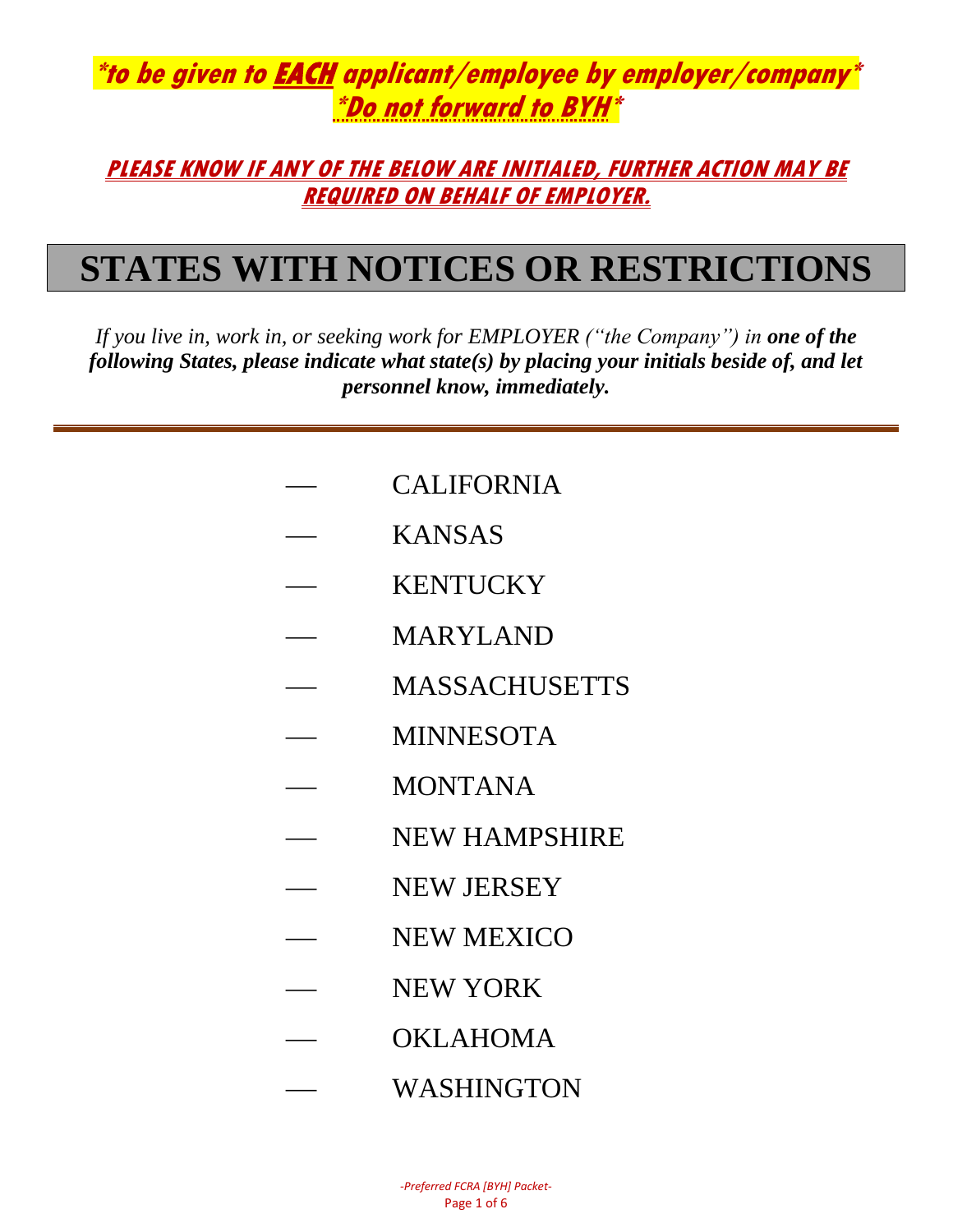## **\*to be given to EACH applicant/employee by employer/company\* \*Do not forward to BYH\***

### **PLEASE KNOW IF ANY OF THE BELOW ARE INITIALED, FURTHER ACTION MAY BE REQUIRED ON BEHALF OF EMPLOYER.**

# **STATES WITH NOTICES OR RESTRICTIONS**

*If you live in, work in, or seeking work for EMPLOYER ("the Company") in one of the following States, please indicate what state(s) by placing your initials beside of, and let personnel know, immediately.*

- **CALIFORNIA**
- **KANSAS**
- **KENTUCKY**
- **MARYLAND**
- **MASSACHUSETTS**
- **MINNESOTA**
- **MONTANA**
- NEW HAMPSHIRE
- NEW JERSEY
- NEW MEXICO
- NEW YORK
	- **OKLAHOMA**
	- WASHINGTON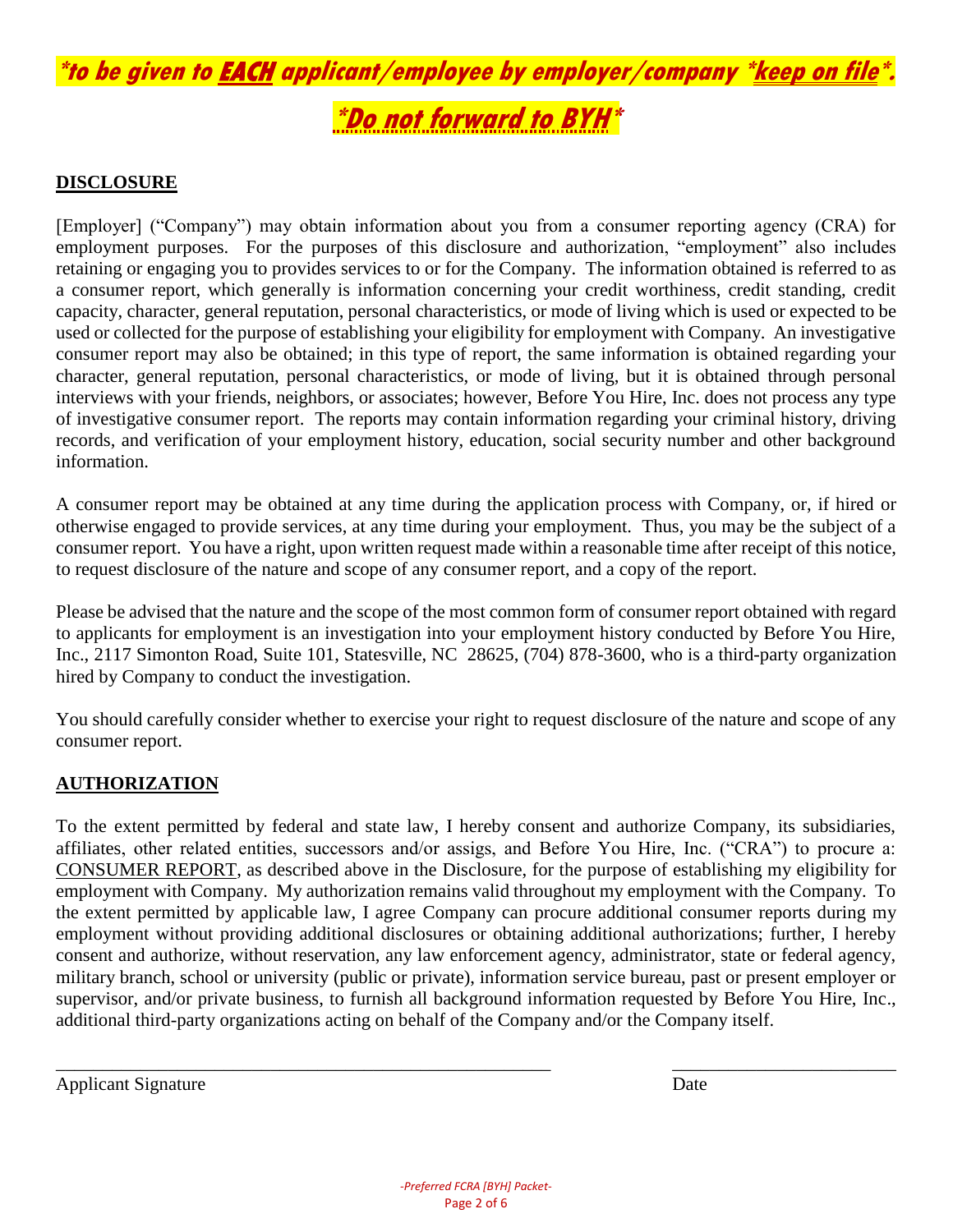# **\*to be given to EACH applicant/employee by employer/company \*keep on file\*.**

# **\*Do not forward to BYH\***

### **DISCLOSURE**

[Employer] ("Company") may obtain information about you from a consumer reporting agency (CRA) for employment purposes. For the purposes of this disclosure and authorization, "employment" also includes retaining or engaging you to provides services to or for the Company. The information obtained is referred to as a consumer report, which generally is information concerning your credit worthiness, credit standing, credit capacity, character, general reputation, personal characteristics, or mode of living which is used or expected to be used or collected for the purpose of establishing your eligibility for employment with Company. An investigative consumer report may also be obtained; in this type of report, the same information is obtained regarding your character, general reputation, personal characteristics, or mode of living, but it is obtained through personal interviews with your friends, neighbors, or associates; however, Before You Hire, Inc. does not process any type of investigative consumer report. The reports may contain information regarding your criminal history, driving records, and verification of your employment history, education, social security number and other background information.

A consumer report may be obtained at any time during the application process with Company, or, if hired or otherwise engaged to provide services, at any time during your employment. Thus, you may be the subject of a consumer report. You have a right, upon written request made within a reasonable time after receipt of this notice, to request disclosure of the nature and scope of any consumer report, and a copy of the report.

Please be advised that the nature and the scope of the most common form of consumer report obtained with regard to applicants for employment is an investigation into your employment history conducted by Before You Hire, Inc., 2117 Simonton Road, Suite 101, Statesville, NC 28625, (704) 878-3600, who is a third-party organization hired by Company to conduct the investigation.

You should carefully consider whether to exercise your right to request disclosure of the nature and scope of any consumer report.

### **AUTHORIZATION**

To the extent permitted by federal and state law, I hereby consent and authorize Company, its subsidiaries, affiliates, other related entities, successors and/or assigs, and Before You Hire, Inc. ("CRA") to procure a: CONSUMER REPORT, as described above in the Disclosure, for the purpose of establishing my eligibility for employment with Company. My authorization remains valid throughout my employment with the Company. To the extent permitted by applicable law, I agree Company can procure additional consumer reports during my employment without providing additional disclosures or obtaining additional authorizations; further, I hereby consent and authorize, without reservation, any law enforcement agency, administrator, state or federal agency, military branch, school or university (public or private), information service bureau, past or present employer or supervisor, and/or private business, to furnish all background information requested by Before You Hire, Inc., additional third-party organizations acting on behalf of the Company and/or the Company itself.

Applicant Signature Date

\_\_\_\_\_\_\_\_\_\_\_\_\_\_\_\_\_\_\_\_\_\_\_\_\_\_\_\_\_\_\_\_\_\_\_\_\_\_\_\_\_\_\_\_\_\_\_\_\_\_\_\_\_ \_\_\_\_\_\_\_\_\_\_\_\_\_\_\_\_\_\_\_\_\_\_\_\_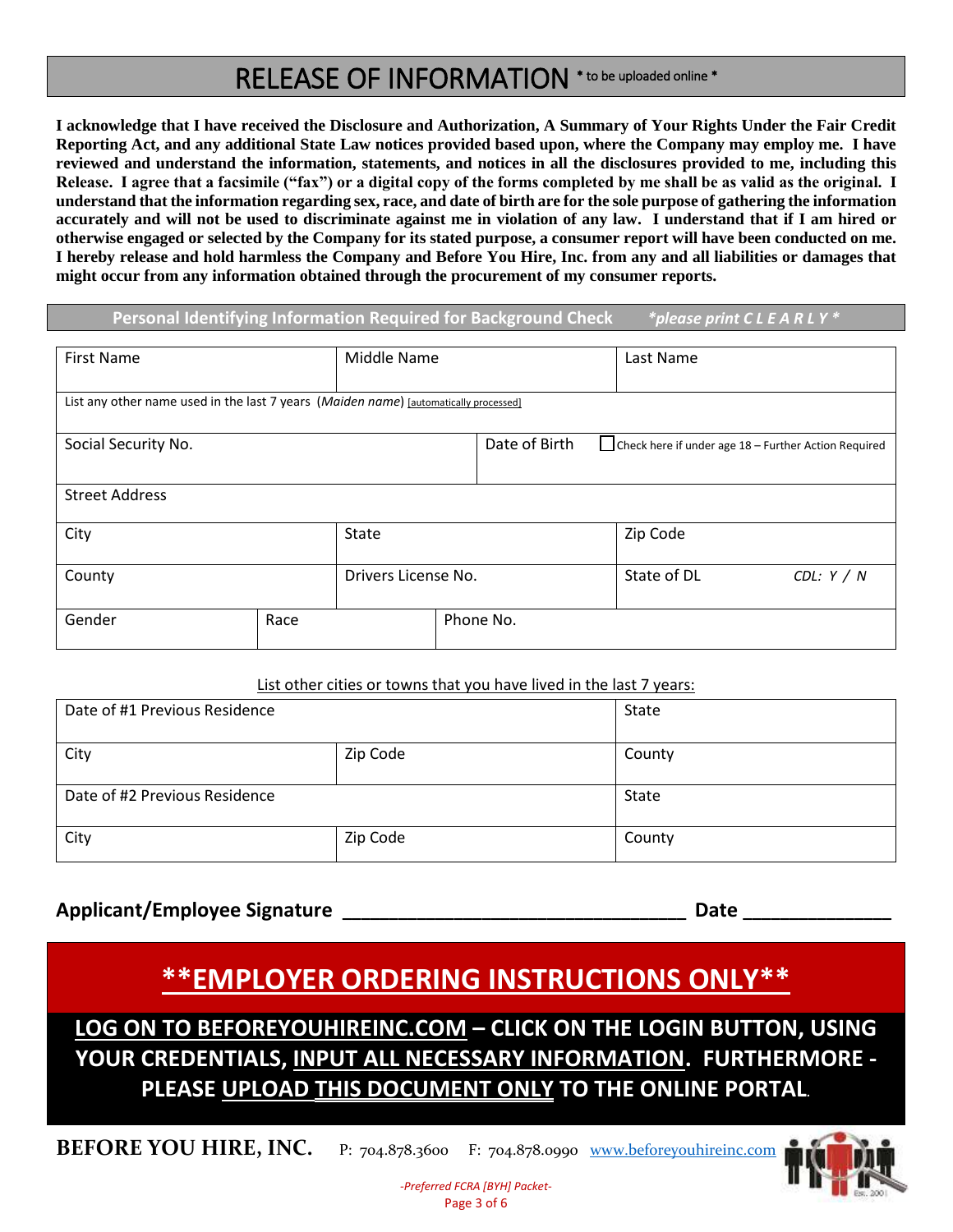## RELEASE OF INFORMATION \* to be uploaded online \*

**I acknowledge that I have received the Disclosure and Authorization, A Summary of Your Rights Under the Fair Credit Reporting Act, and any additional State Law notices provided based upon, where the Company may employ me. I have reviewed and understand the information, statements, and notices in all the disclosures provided to me, including this Release. I agree that a facsimile ("fax") or a digital copy of the forms completed by me shall be as valid as the original. I understand that the information regarding sex, race, and date of birth are for the sole purpose of gathering the information accurately and will not be used to discriminate against me in violation of any law. I understand that if I am hired or otherwise engaged or selected by the Company for its stated purpose, a consumer report will have been conducted on me. I hereby release and hold harmless the Company and Before You Hire, Inc. from any and all liabilities or damages that might occur from any information obtained through the procurement of my consumer reports.**

**Personal Identifying Information Required for Background Check** *\*please print C L E A R L Y \**

| <b>First Name</b>                                                                    |      | Middle Name  |                                                                              |             | Last Name  |  |  |  |
|--------------------------------------------------------------------------------------|------|--------------|------------------------------------------------------------------------------|-------------|------------|--|--|--|
| List any other name used in the last 7 years (Maiden name) [automatically processed] |      |              |                                                                              |             |            |  |  |  |
| Social Security No.                                                                  |      |              | Date of Birth<br>$\Box$ Check here if under age 18 – Further Action Required |             |            |  |  |  |
| <b>Street Address</b>                                                                |      |              |                                                                              |             |            |  |  |  |
| City                                                                                 |      | <b>State</b> |                                                                              |             | Zip Code   |  |  |  |
| Drivers License No.<br>County                                                        |      |              |                                                                              | State of DL | CDL: Y / N |  |  |  |
| Gender                                                                               | Race |              | Phone No.                                                                    |             |            |  |  |  |

#### List other cities or towns that you have lived in the last 7 years:

| Date of #1 Previous Residence | State    |        |
|-------------------------------|----------|--------|
| City                          | Zip Code | County |
| Date of #2 Previous Residence |          | State  |
| City                          | Zip Code | County |

### **Applicant/Employee Signature \_\_\_\_\_\_\_\_\_\_\_\_\_\_\_\_\_\_\_\_\_\_\_\_\_\_\_\_\_\_\_\_\_\_\_\_\_ Date \_\_\_\_\_\_\_\_\_\_\_\_\_\_\_\_**

### **\*\*EMPLOYER ORDERING INSTRUCTIONS ONLY\*\***

**LOG ON TO BEFOREYOUHIREINC.COM – CLICK ON THE LOGIN BUTTON, USING YOUR CREDENTIALS, INPUT ALL NECESSARY INFORMATION. FURTHERMORE - PLEASE UPLOAD THIS DOCUMENT ONLY TO THE ONLINE PORTAL***.*

**BEFORE YOU HIRE, INC.** P: 704.878.3600 F: 704.878.0990 [www.beforeyouhireinc.com](http://www.beforeyouhireinc.com/)



*-Preferred FCRA [BYH] Packet-*Page 3 of 6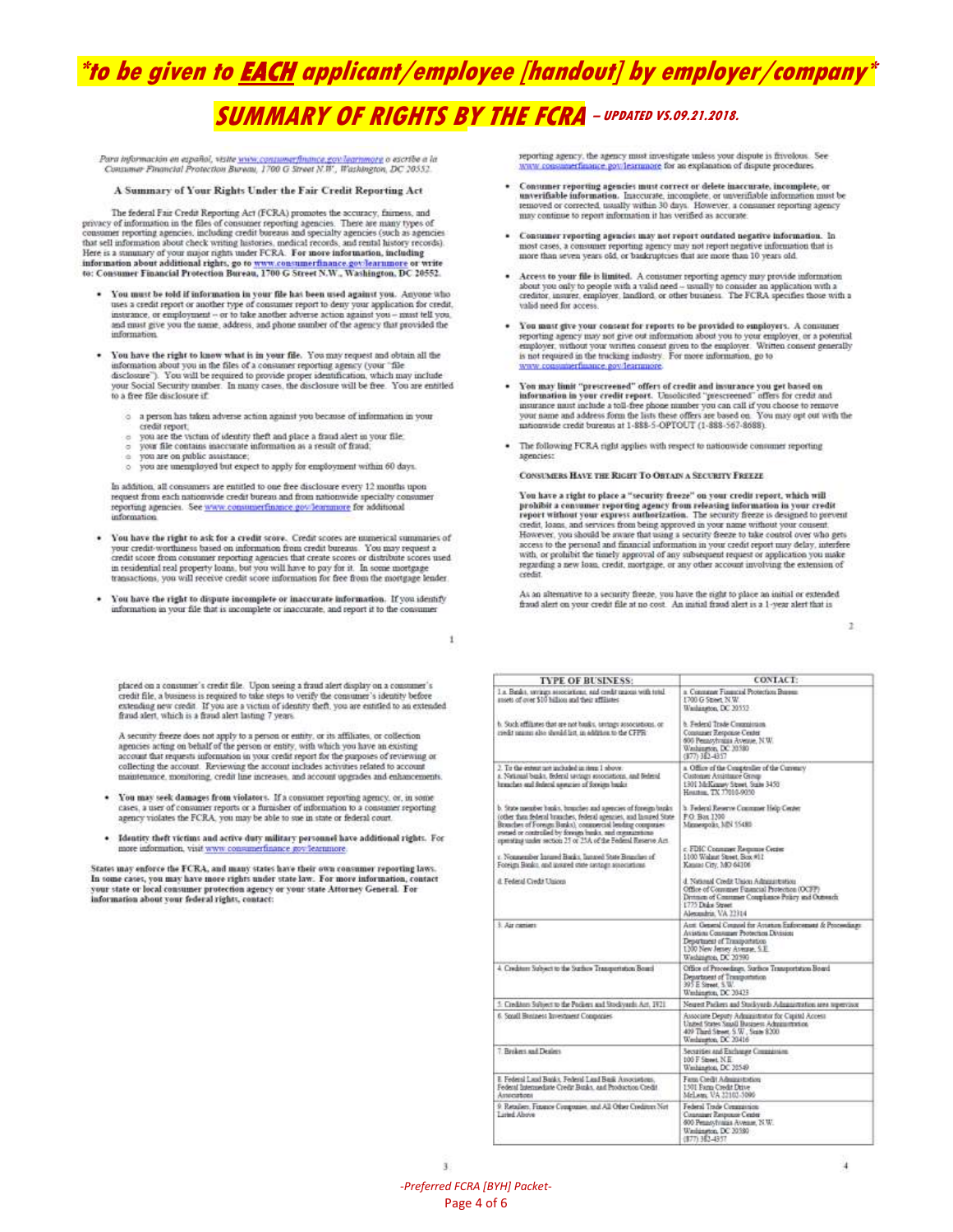## \*to be given to EACH applicant/employee [handout] by employer/company **SUMMARY OF RIGHTS BY THE FCRA** - UPDATED VS.09.21.2018.

Para información en español, visite <u>vivir, consumerfinance govileariument</u> o escribe a la<br>Comumer Financial Protection Bureau, 1700 G Street N.W., Washington, DC 30552.

#### A Summary of Your Rights Under the Fair Credit Reporting Act

The federal Fair Credit Reporting Act (FCRA) promotes the accuracy, fairness, and privacy of information in the files of consumer reporting agencies. There are many types of consumer reporting agencies, including credit bureaus and specially agencies (such as agencies that sell information about check w Here is a summary of your major rights under FCRA. For more information, including information about additional rights, go to www.consumerfinance.gov.learnmore.or write<br>to: Consumer Financial Protection Bureau, 1700 G Street N.W., Washington, DC 20552.

- You must be told if information in your file has been used against you. Anyone who A unusua or evoi a mother type of consumer report to deny your application for credit, uses a credit report or another type of consumer report to deny your application for credit, instance, or employment – or to take anoth information.
- . You have the right to know what is in your file. You may request and obtain all the and constant a about you in the files of a constance reporting agency (your "file disclosure"). You will be required to provide proper identification, which may include your Social Security manber. In many cases, the discl to a free file disclosure if
	- o a person has taken adverse action against you because of information in your
	- credit report. you are the victim of identity theft and place a fraud alert in your file.
	- your file contains maccurate information as a result of fraud;<br>you are on public assistance;
	-
	- $\sigma$ you are unemployed but expect to apply for employment within 60 days.

In addition, all consumers are entitled to one free disclosure every 12 months upon request from each nationwide credit bureau and from nationwide specialty cons reporting agencies. See wave consumerfuncine gov/learnmore for additional

- · You have the right to ask for a credit score. Credit scores are numerical summaries of your credit-worthiness based on information from credit bureaus. You may request a<br>credit score from consumer reporting agencies that create scores or distribute scores used in residential real property loans, but you will have to pay for it. In some mortgage transactions, you will receive credit score information for free from the mortgage lender.
- You have the right to dispute incomplete or inaccurate information. If you identify information in your file that is incomplete or inaccurate, and report it to the consumer

placed on a consumer's credit file. Upon seeing a fraud alert display on a consumer's credit file, a business is required to take steps to verify the consumer's identity before extending new credit. If you are a victim of identity theft, you are entitled to an extended finud alert, which is a finud alert la

A security freeze does not apply to a person or entity, or its affiliates, or collection agencies acting on behalf of the person or entity, with which you have an existing<br>account that requests information in your credit report for the purposes of reviewing or collecting the account. Reviewing the account includes activities related to account maintenance, momboring, credit line increases, and account upgrades and enhancements

- · You may seek damages from violators. If a consumer reporting agency, or, in some cases, a user of consumer reports or a furnisher of information to a consumingency violates the FCRA, you may be able to sue in state or federal court.
- Identity theft victims and active duty military personnel have additional rights. For more information, visit www.consumerfinance.gov/learnmore

States may enforce the FCRA, and many states have their own consumer reporting laws. In some cases, you may have more rights under state law. For more informatio a, contact your state or becal consumer protection agency or your state Attorney General. For<br>information about your federal rights, contact:

reporting agency, the agency must investigate unless your dispute is frivolous. See<br>www.consumerfinance.gov/learningre for an explanation of dispute procedures.

- · Consumer reporting agencies must correct or delete inaccurate, incomplete, or unverifiable information. Insecurate, incomplete, or unverifiable information must be removed or corrected, usually within 30 days. However, a consumer reporting agency may continue to report information it has verified as accurate
- · Consumer reporting agencies may not report outdated negative information. In most cases, a consumer reporting agency may not report negative information that is more than seven years old, or basicruptcies that are more than 10 years old.
- Access to your file is limited. A consumer reporting agency may provide information about you only to people with a valid need - usually to consider an application with a creditor, insurer, employer, landlord, or other business. The FCRA specifies those with a valid need for access.
- You must give your consent for reports to be provided to employers. A community reporting agency may not give out information about you to your employer, or a potential employer, without your written consent greenably i ince pour **WWW.CO**
- You may limit "prescreened" offers of credit and insurance you get based on information in your credit report. Unsolicited "prescreened" offers for credit and insurance must include a toll-free phone mimber you can call if you choose to remove<br>your name and address form the lists these offers are based on. You may opt out with the pationwide credit bureaus at 1-888-5-OPTOUT (1-888-567-8688).
- · The following FCRA right applies with respect to nationwide consumer reporting agencies:

CONSUMERS HAVE THE RIGHT TO OBTAIN A SECURITY FREEZE

You have a right to place a "security freeze" on your credit report, which will prohibit a consumer reporting agency from releasing information in your credit<br>report without your express authorization. The security freeze is designed to prevent credit, loans, and services from being approved in your name without your consent.<br>However, you should be aware that using a security freeze to take control over who gets access to the personal and financial information in your credit report may delay, interfere with, or prohibit the timely approval of any subsequent request or application you make regarding a new loan, credit, mortgage, or any other account involving the extension of

As an alternative to a security freeze, you have the right to place an initial or extended fraud alert on your credit file at no cost. An initial fraud alert is a 1-year alert that is

÷.

| <b>TYPE OF BUSINESS:</b>                                                                                                                                                                                                                                                                                                       | <b>CONTACT:</b>                                                                                                                                                                             |  |  |
|--------------------------------------------------------------------------------------------------------------------------------------------------------------------------------------------------------------------------------------------------------------------------------------------------------------------------------|---------------------------------------------------------------------------------------------------------------------------------------------------------------------------------------------|--|--|
| I.a. Beaks, savings associations, and credit unroom with total<br>ansets of over \$10 hillion and their affiliates                                                                                                                                                                                                             | a Contrator Financial Protection Bureau<br>1700 G Street N W.<br>Washington, DC 20552                                                                                                       |  |  |
| b. Such affiliates that are not busks, tantage associations, or<br>reeds unions also should list, in addition to the CFPR'                                                                                                                                                                                                     | <b>b. Federal Trade Commutains</b><br>Consumer Response Center<br>600 Pennsylvania Avenue, N.W.<br>Washington, DC 30580<br>(\$77) 382-4357                                                  |  |  |
| 2. To the extent not included in time 1 above.<br>a. National banks, federal savings associations, and federal<br>Immediate and deducted agencies of formigns banks.                                                                                                                                                           | a. Office of the Comptraller of the Currency<br>Customer Assistance Group<br>1301 McKenney Street, State 3450<br>Heathin, TX 77010-9050                                                     |  |  |
| b. State member banks, branches and agencies of foreign banks.<br>(other than federal branches, federal agencies, and Insured State<br>Branches of Foreign Banks), contineerial lending comparies<br>instead or nintrolled by foreign banks, and commitminis-<br>operating under section 25 or 25A of the Federal Reserve Art- | h Federal Reserve Commune Help Center<br>P.O. Box 1300<br>Managazin, MN 55480                                                                                                               |  |  |
| r. Nounesiber Intured Banks, Innaned State Branches of<br>Foreign Banks, and insured viste taxtnes associations.                                                                                                                                                                                                               | c. FDIC Consumer Requires Center<br>1100 Walnut Street, Sox #11<br>Kausas City, MO 64306                                                                                                    |  |  |
| d. Federal Credit Unions                                                                                                                                                                                                                                                                                                       | J. National Credit Union Administration<br>Office of Commun Fuancial Protection (OCFP)<br>Division of Communer Compliance Policy and Outstands<br>1775 Didos Street<br>Alexandria, VA 22314 |  |  |
| 3. Air caniers                                                                                                                                                                                                                                                                                                                 | Ann: General Control for Aviation Enforcement & Proceedings<br>Avistina Consumer Protection Division<br>Department of Transportation<br>1300 New Jeney Avenue, S.E.<br>Washington, DC-20190 |  |  |
| 4. Creditors Subject to the Surface Transportation Board                                                                                                                                                                                                                                                                       | Office of Proceedings, Statisce Transportation Board<br>Department of Transportation<br>395 E Street, 5 W.<br>Washington, DC 20423                                                          |  |  |
| 3. Creditors Subject to the Pockers and Stockyards Act, 1921.                                                                                                                                                                                                                                                                  | Neurest Packers and Stockyards Administration area sepercisor.                                                                                                                              |  |  |
| 6. Small Beniness Investment Companies                                                                                                                                                                                                                                                                                         | Associate Deputy Administrator for Capital Access<br>United States Small Business Administration<br>409 Third Street, S.W., Scite 8200.<br>Washington, DC 20416                             |  |  |
| 7. Brokers and Dealers                                                                                                                                                                                                                                                                                                         | Secratifies and Enclasser Compression.<br>100 F Street, N.E.<br>Washington, DC 30549.                                                                                                       |  |  |
| E. Federal Land Banks, Federal Land Bank Associations.<br>Federal Internuediate Credit Banks, and Production Credit.<br>Associations                                                                                                                                                                                           | Farm Cordit Administration<br>1501 Fann Credit Drive<br>MeLion, VA 32103-3086                                                                                                               |  |  |
| 9. Retailers, Finance Componise, and All Other Cordinats Not<br>Listed Above                                                                                                                                                                                                                                                   | Federal Trade Communicati<br>Countiner Response Center<br>600 Pennsylvania Avenue, N.W.<br>Washington, DC 30580<br>1877) 387-4347                                                           |  |  |

 $\mathbf 1$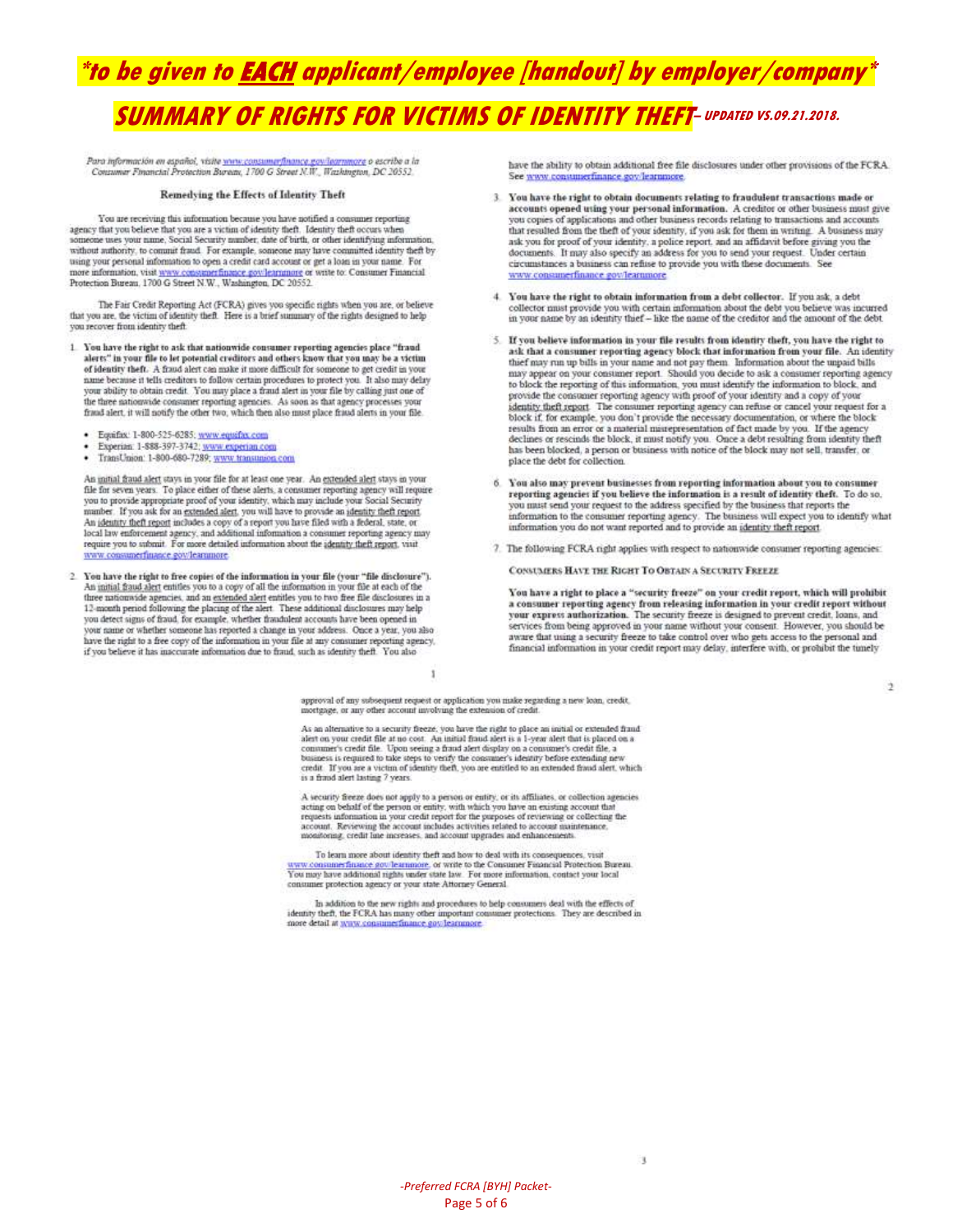## \*to be given to EACH applicant/employee [handout] by employer/company **SUMMARY OF RIGHTS FOR VICTIMS OF IDENTITY THEFT- UPDATED VS.09.21.2018.**

termación en español, visite <u>voro: consumerfinance povilearmacre</u> o escribe a la<br>mer Financial Protection Bureau, 1700 G Street N.W., Waskington, DC 20552. Para información en español, visite youw.cons.

#### **Remedying the Effects of Identity Theft**

You are receiving this information because you have notified a consumer reporting agency that you believe that you are a victim of identity theft. Identity theft occurs when someone uses your name. Social Security number, date of birth, or other identifying information, without authority, to commit fraud. For example, someone may have committed identity theft by using your personal information to open a credit card account or get a loan in your name. For more information, visit www.consumerfinance.gov/learnmore.or write to: Consumer Financial Protection Bureau, 1700 G Street N.W., Washington, DC 20552.

The Fair Credit Reporting Act (FCRA) gives you specific rights when you are, or believe that you are, the victim of identity theft. Here is a brief summary of the rights designed to help you recover from identity theft.

- 1. You have the right to ask that nationwide consumer reporting agencies place "fraud alerts" in your file to let potential creditors and others know that you may be a victim of identity theft. A fraud alert can make it more difficult for someone to get credit in your name because it tells creditors to follow certain procedures to protect you. It also may delay your ability to obtain credit. You may place a fraud alert in your file by calling just one of the three nationwide consumer reporting agencies. As soon as that agency processes your fraud alert, it will notify the other two, which then also must place fraud alerts in your file
	- Equifax: 1-800-525-6285; www.equifax.com
	- Experian: 1-888-397-3742; www.experian.com
	- · TransUnion: 1-800-680-7289; www.transunion.com

An initial fraud alert stays in your file for at least one year. An extended alert stays in your file for seven years. To place either of these alerts, a consumer reporting agency will require<br>you to provide appropriate proof of your identity, which may include your Social Security manber. If you ask for an extended alert, you will have to provide an identity theft report An identity theft report includes a copy of a report you have filed with a federal, state, or<br>local law enforcement agency, and additional information a consumer reporting agency may require you to submit. For more detailed information about the identity theft report, visit www.consumerfunance.gov/learnmore.

You have the right to free copies of the information in your file (your "file disclosure"). An initial figud algri entities you to a copy of all the information in your file at each of the 2. three nationwide agencies, and an extended alert entitles you to two free file disclosures in a  $12$  -month period following the placing of the alert. These additional disclosures may help you detect signs of fraud, for example, whether fraudulent accounts have been opened in your name or whether someone has reported a change in your address. Once a year, you also have the right to a free copy of the information in your file at any consumer reporting agency, if you believe it has inaccurate information due to fraud, such as identity theft. You also

have the ability to obtain additional free file disclosures under other provisions of the FCRA. See www.consumerfinance.gov/learnmore.

- 3. You have the right to obtain documents relating to fraudulent transactions made or accounts opened using your personal information. A creditor or other business must give<br>you copies of applications and other business records relating to transactions and accounts that resulted from the theft of your identity, if you ask for them in writing. A business may ask you for proof of your identity, a police report, and an affidavit before giving you the<br>documents. It may also specify an address for you to send your request. Under certain circumstances a business can refuse to provide you with these documents. See www.consumerfinance.gov/learnmore
- $\mathbf{4}$ You have the right to obtain information from a debt collector. If you ask, a debt collector must provide you with certain information about the debt you believe was incurred<br>in your name by an identity thief -- like the name of the creditor and the amount of the debt.
- 5. If you believe information in your file results from identity theft, you have the right to ask that a consumer reporting agency block that information from your file. An identity thief may run up bills in your name and not pay them. Information about the unpaid bills may appear on your consumer report. Should you decide to ask a consumer reporting agency to block the reporting of this information, you must identify the information to block, and provide the consumer reporting agency with proof of your identity and a copy of your identity theft report The consumer reporting agency can refuse or cancel your request for a block if, for example, you don't provide the necessary documentation, or where the block results from an error or a material misrepresentation of fact made by you. If the agency declines or rescinds the block, it must notify you. Once a debt resulting from identity theft has been blocked, a person or business with notice of the block may not sell, transfer, or place the debt for collection.
- 6. You also may prevent businesses from reporting information about you to consumer<br>reporting agencies if you believe the information is a result of identity theft. To do so, you must send your request to the address specified by the business that reports the information to the consumer reporting agency. The business will expect you to identify what information you do not want reported and to provide an identity theft report.
- 7. The following FCRA right applies with respect to nationwide consumer reporting agencies:

CONSUMERS HAVE THE RIGHT TO OBTAIN A SECURITY FREEZE

You have a right to place a "security freeze" on your credit report, which will prohibit a consumer reporting agency from releasing information in your credit report without your express authorization. The security freeze is designed to prevent credit, loans, and services from being approved in your name without your consent. However, you should be<br>aware that using a security freeze to take control over who gets access to the personal and financial information in your credit report may delay, interfere with, or prohibit the timely

approval of any subsequent request or application you make regarding a new loan, credit, mortgage, or any other account involving the extension of credit.

1

As an alternative to a security freeze, you have the right to place an initial or extended fraud. alert on your credit file at no cost. An initial fraud alert is a 1-year alert that is placed on a communer's credit file. Upon seeing a fraud alert display on a consumer's credit file. a business is required to take steps to verify the consumer's identity before extending new<br>credit If you are a victim of identity theft, you are entitled to an extended fraud alert, which is a fraud alert lasting 7 years.

A security freeze does not apply to a person or entity, or its affiliates, or collection agencies acting on behalf of the person or emity, with which you have an existing account that requests information in your credit report for the purposes of reviewing or collecting the account. Reviewing the account material mass

To learn more about identity theft and how to deal with its consequences, visit  $\frac{$ uww.consumerfinance.gov/learnmore, or write to the Consumer Francial Protection Bureau. You may have additional rights under state law. For more information, contact your local consumer protection agency or your stat

In addition to the new rights and procedures to help consumers deal with the effects of identity then, the FCRA has many other important constants protections. They are described in more detail at ways consumerfinance gov learninger.